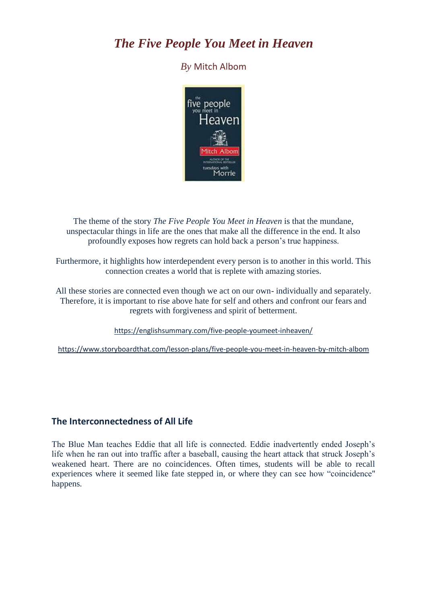# *The Five People You Meet in Heaven*

## *By* Mitch Albom



The theme of the story *The Five People You Meet in Heaven* is that the mundane, unspectacular things in life are the ones that make all the difference in the end. It also profoundly exposes how regrets can hold back a person's true happiness.

Furthermore, it highlights how interdependent every person is to another in this world. This connection creates a world that is replete with amazing stories.

All these stories are connected even though we act on our own- individually and separately. Therefore, it is important to rise above hate for self and others and confront our fears and regrets with forgiveness and spirit of betterment.

<https://englishsummary.com/five-people-youmeet-inheaven/>

<https://www.storyboardthat.com/lesson-plans/five-people-you-meet-in-heaven-by-mitch-albom>

## **The Interconnectedness of All Life**

The Blue Man teaches Eddie that all life is connected. Eddie inadvertently ended Joseph's life when he ran out into traffic after a baseball, causing the heart attack that struck Joseph's weakened heart. There are no coincidences. Often times, students will be able to recall experiences where it seemed like fate stepped in, or where they can see how "coincidence" happens.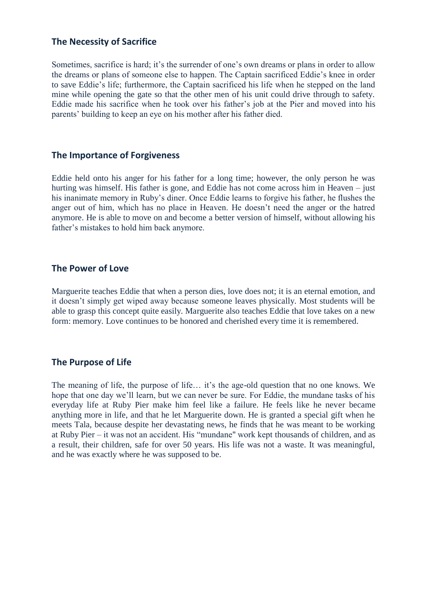## **The Necessity of Sacrifice**

Sometimes, sacrifice is hard; it's the surrender of one's own dreams or plans in order to allow the dreams or plans of someone else to happen. The Captain sacrificed Eddie's knee in order to save Eddie's life; furthermore, the Captain sacrificed his life when he stepped on the land mine while opening the gate so that the other men of his unit could drive through to safety. Eddie made his sacrifice when he took over his father's job at the Pier and moved into his parents' building to keep an eye on his mother after his father died.

## **The Importance of Forgiveness**

Eddie held onto his anger for his father for a long time; however, the only person he was hurting was himself. His father is gone, and Eddie has not come across him in Heaven – just his inanimate memory in Ruby's diner. Once Eddie learns to forgive his father, he flushes the anger out of him, which has no place in Heaven. He doesn't need the anger or the hatred anymore. He is able to move on and become a better version of himself, without allowing his father's mistakes to hold him back anymore.

## **The Power of Love**

Marguerite teaches Eddie that when a person dies, love does not; it is an eternal emotion, and it doesn't simply get wiped away because someone leaves physically. Most students will be able to grasp this concept quite easily. Marguerite also teaches Eddie that love takes on a new form: memory. Love continues to be honored and cherished every time it is remembered.

## **The Purpose of Life**

The meaning of life, the purpose of life… it's the age-old question that no one knows. We hope that one day we'll learn, but we can never be sure. For Eddie, the mundane tasks of his everyday life at Ruby Pier make him feel like a failure. He feels like he never became anything more in life, and that he let Marguerite down. He is granted a special gift when he meets Tala, because despite her devastating news, he finds that he was meant to be working at Ruby Pier – it was not an accident. His "mundane" work kept thousands of children, and as a result, their children, safe for over 50 years. His life was not a waste. It was meaningful, and he was exactly where he was supposed to be.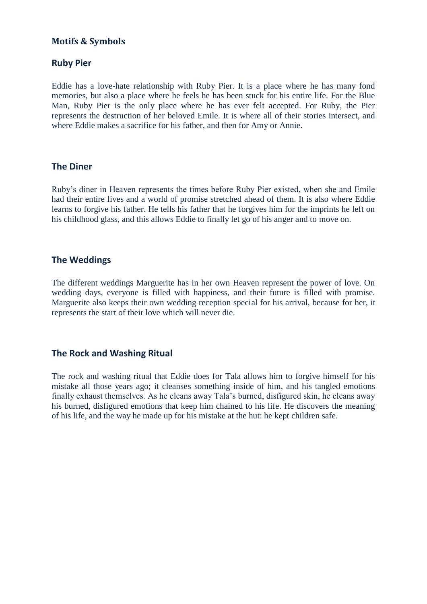## **Motifs & Symbols**

### **Ruby Pier**

Eddie has a love-hate relationship with Ruby Pier. It is a place where he has many fond memories, but also a place where he feels he has been stuck for his entire life. For the Blue Man, Ruby Pier is the only place where he has ever felt accepted. For Ruby, the Pier represents the destruction of her beloved Emile. It is where all of their stories intersect, and where Eddie makes a sacrifice for his father, and then for Amy or Annie.

#### **The Diner**

Ruby's diner in Heaven represents the times before Ruby Pier existed, when she and Emile had their entire lives and a world of promise stretched ahead of them. It is also where Eddie learns to forgive his father. He tells his father that he forgives him for the imprints he left on his childhood glass, and this allows Eddie to finally let go of his anger and to move on.

#### **The Weddings**

The different weddings Marguerite has in her own Heaven represent the power of love. On wedding days, everyone is filled with happiness, and their future is filled with promise. Marguerite also keeps their own wedding reception special for his arrival, because for her, it represents the start of their love which will never die.

#### **The Rock and Washing Ritual**

The rock and washing ritual that Eddie does for Tala allows him to forgive himself for his mistake all those years ago; it cleanses something inside of him, and his tangled emotions finally exhaust themselves. As he cleans away Tala's burned, disfigured skin, he cleans away his burned, disfigured emotions that keep him chained to his life. He discovers the meaning of his life, and the way he made up for his mistake at the hut: he kept children safe.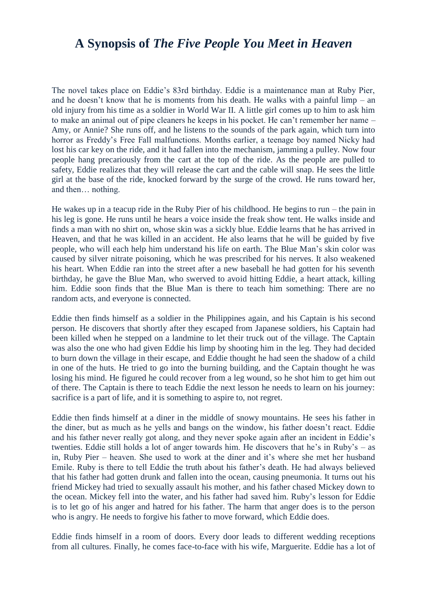## **A Synopsis of** *The Five People You Meet in Heaven*

The novel takes place on Eddie's 83rd birthday. Eddie is a maintenance man at Ruby Pier, and he doesn't know that he is moments from his death. He walks with a painful limp – an old injury from his time as a soldier in World War II. A little girl comes up to him to ask him to make an animal out of pipe cleaners he keeps in his pocket. He can't remember her name – Amy, or Annie? She runs off, and he listens to the sounds of the park again, which turn into horror as Freddy's Free Fall malfunctions. Months earlier, a teenage boy named Nicky had lost his car key on the ride, and it had fallen into the mechanism, jamming a pulley. Now four people hang precariously from the cart at the top of the ride. As the people are pulled to safety, Eddie realizes that they will release the cart and the cable will snap. He sees the little girl at the base of the ride, knocked forward by the surge of the crowd. He runs toward her, and then… nothing.

He wakes up in a teacup ride in the Ruby Pier of his childhood. He begins to run – the pain in his leg is gone. He runs until he hears a voice inside the freak show tent. He walks inside and finds a man with no shirt on, whose skin was a sickly blue. Eddie learns that he has arrived in Heaven, and that he was killed in an accident. He also learns that he will be guided by five people, who will each help him understand his life on earth. The Blue Man's skin color was caused by silver nitrate poisoning, which he was prescribed for his nerves. It also weakened his heart. When Eddie ran into the street after a new baseball he had gotten for his seventh birthday, he gave the Blue Man, who swerved to avoid hitting Eddie, a heart attack, killing him. Eddie soon finds that the Blue Man is there to teach him something: There are no random acts, and everyone is connected.

Eddie then finds himself as a soldier in the Philippines again, and his Captain is his second person. He discovers that shortly after they escaped from Japanese soldiers, his Captain had been killed when he stepped on a landmine to let their truck out of the village. The Captain was also the one who had given Eddie his limp by shooting him in the leg. They had decided to burn down the village in their escape, and Eddie thought he had seen the shadow of a child in one of the huts. He tried to go into the burning building, and the Captain thought he was losing his mind. He figured he could recover from a leg wound, so he shot him to get him out of there. The Captain is there to teach Eddie the next lesson he needs to learn on his journey: sacrifice is a part of life, and it is something to aspire to, not regret.

Eddie then finds himself at a diner in the middle of snowy mountains. He sees his father in the diner, but as much as he yells and bangs on the window, his father doesn't react. Eddie and his father never really got along, and they never spoke again after an incident in Eddie's twenties. Eddie still holds a lot of anger towards him. He discovers that he's in Ruby's – as in, Ruby Pier – heaven. She used to work at the diner and it's where she met her husband Emile. Ruby is there to tell Eddie the truth about his father's death. He had always believed that his father had gotten drunk and fallen into the ocean, causing pneumonia. It turns out his friend Mickey had tried to sexually assault his mother, and his father chased Mickey down to the ocean. Mickey fell into the water, and his father had saved him. Ruby's lesson for Eddie is to let go of his anger and hatred for his father. The harm that anger does is to the person who is angry. He needs to forgive his father to move forward, which Eddie does.

Eddie finds himself in a room of doors. Every door leads to different wedding receptions from all cultures. Finally, he comes face-to-face with his wife, Marguerite. Eddie has a lot of